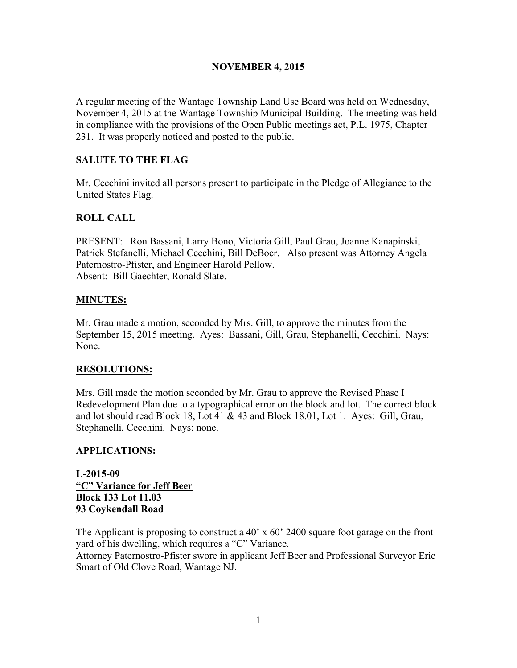#### NOVEMBER 4, 2015

A regular meeting of the Wantage Township Land Use Board was held on Wednesday, November 4, 2015 at the Wantage Township Municipal Building. The meeting was held in compliance with the provisions of the Open Public meetings act, P.L. 1975, Chapter 231. It was properly noticed and posted to the public.

## SALUTE TO THE FLAG

Mr. Cecchini invited all persons present to participate in the Pledge of Allegiance to the United States Flag.

# ROLL CALL

PRESENT: Ron Bassani, Larry Bono, Victoria Gill, Paul Grau, Joanne Kanapinski, Patrick Stefanelli, Michael Cecchini, Bill DeBoer. Also present was Attorney Angela Paternostro-Pfister, and Engineer Harold Pellow. Absent: Bill Gaechter, Ronald Slate.

## MINUTES:

Mr. Grau made a motion, seconded by Mrs. Gill, to approve the minutes from the September 15, 2015 meeting. Ayes: Bassani, Gill, Grau, Stephanelli, Cecchini. Nays: None.

## RESOLUTIONS:

Mrs. Gill made the motion seconded by Mr. Grau to approve the Revised Phase I Redevelopment Plan due to a typographical error on the block and lot. The correct block and lot should read Block 18, Lot 41 & 43 and Block 18.01, Lot 1. Ayes: Gill, Grau, Stephanelli, Cecchini. Nays: none.

## APPLICATIONS:

L-2015-09 "C" Variance for Jeff Beer Block 133 Lot 11.03 93 Coykendall Road

The Applicant is proposing to construct a 40' x 60' 2400 square foot garage on the front yard of his dwelling, which requires a "C" Variance.

Attorney Paternostro-Pfister swore in applicant Jeff Beer and Professional Surveyor Eric Smart of Old Clove Road, Wantage NJ.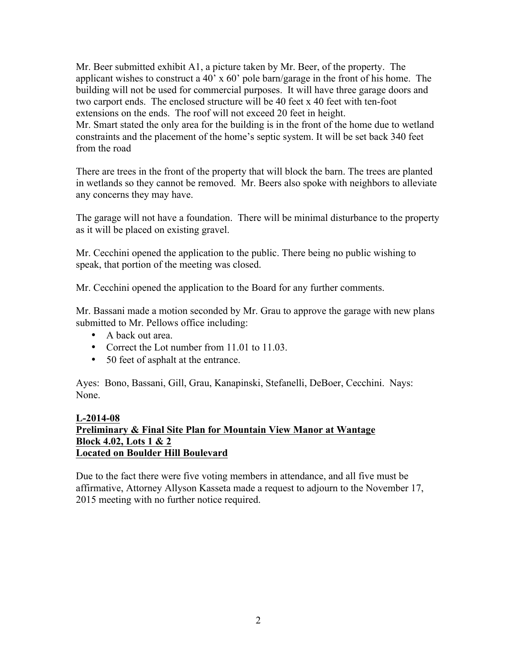Mr. Beer submitted exhibit A1, a picture taken by Mr. Beer, of the property. The applicant wishes to construct a 40' x 60' pole barn/garage in the front of his home. The building will not be used for commercial purposes. It will have three garage doors and two carport ends. The enclosed structure will be 40 feet x 40 feet with ten-foot extensions on the ends. The roof will not exceed 20 feet in height. Mr. Smart stated the only area for the building is in the front of the home due to wetland constraints and the placement of the home's septic system. It will be set back 340 feet from the road

There are trees in the front of the property that will block the barn. The trees are planted in wetlands so they cannot be removed. Mr. Beers also spoke with neighbors to alleviate any concerns they may have.

The garage will not have a foundation. There will be minimal disturbance to the property as it will be placed on existing gravel.

Mr. Cecchini opened the application to the public. There being no public wishing to speak, that portion of the meeting was closed.

Mr. Cecchini opened the application to the Board for any further comments.

Mr. Bassani made a motion seconded by Mr. Grau to approve the garage with new plans submitted to Mr. Pellows office including:

- A back out area.
- Correct the Lot number from 11.01 to 11.03.
- 50 feet of asphalt at the entrance.

Ayes: Bono, Bassani, Gill, Grau, Kanapinski, Stefanelli, DeBoer, Cecchini. Nays: None.

## L-2014-08 Preliminary & Final Site Plan for Mountain View Manor at Wantage Block 4.02, Lots 1 & 2 Located on Boulder Hill Boulevard

Due to the fact there were five voting members in attendance, and all five must be affirmative, Attorney Allyson Kasseta made a request to adjourn to the November 17, 2015 meeting with no further notice required.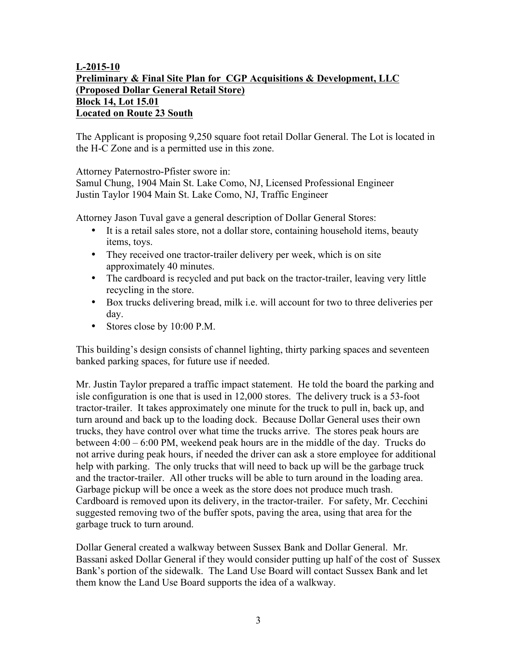## L-2015-10 Preliminary & Final Site Plan for CGP Acquisitions & Development, LLC (Proposed Dollar General Retail Store) Block 14, Lot 15.01 Located on Route 23 South

The Applicant is proposing 9,250 square foot retail Dollar General. The Lot is located in the H-C Zone and is a permitted use in this zone.

Attorney Paternostro-Pfister swore in:

Samul Chung, 1904 Main St. Lake Como, NJ, Licensed Professional Engineer Justin Taylor 1904 Main St. Lake Como, NJ, Traffic Engineer

Attorney Jason Tuval gave a general description of Dollar General Stores:

- It is a retail sales store, not a dollar store, containing household items, beauty items, toys.
- They received one tractor-trailer delivery per week, which is on site approximately 40 minutes.
- The cardboard is recycled and put back on the tractor-trailer, leaving very little recycling in the store.
- Box trucks delivering bread, milk i.e. will account for two to three deliveries per day.
- Stores close by 10:00 P.M.

This building's design consists of channel lighting, thirty parking spaces and seventeen banked parking spaces, for future use if needed.

Mr. Justin Taylor prepared a traffic impact statement. He told the board the parking and isle configuration is one that is used in 12,000 stores. The delivery truck is a 53-foot tractor-trailer. It takes approximately one minute for the truck to pull in, back up, and turn around and back up to the loading dock. Because Dollar General uses their own trucks, they have control over what time the trucks arrive. The stores peak hours are between 4:00 – 6:00 PM, weekend peak hours are in the middle of the day. Trucks do not arrive during peak hours, if needed the driver can ask a store employee for additional help with parking. The only trucks that will need to back up will be the garbage truck and the tractor-trailer. All other trucks will be able to turn around in the loading area. Garbage pickup will be once a week as the store does not produce much trash. Cardboard is removed upon its delivery, in the tractor-trailer. For safety, Mr. Cecchini suggested removing two of the buffer spots, paving the area, using that area for the garbage truck to turn around.

Dollar General created a walkway between Sussex Bank and Dollar General. Mr. Bassani asked Dollar General if they would consider putting up half of the cost of Sussex Bank's portion of the sidewalk. The Land Use Board will contact Sussex Bank and let them know the Land Use Board supports the idea of a walkway.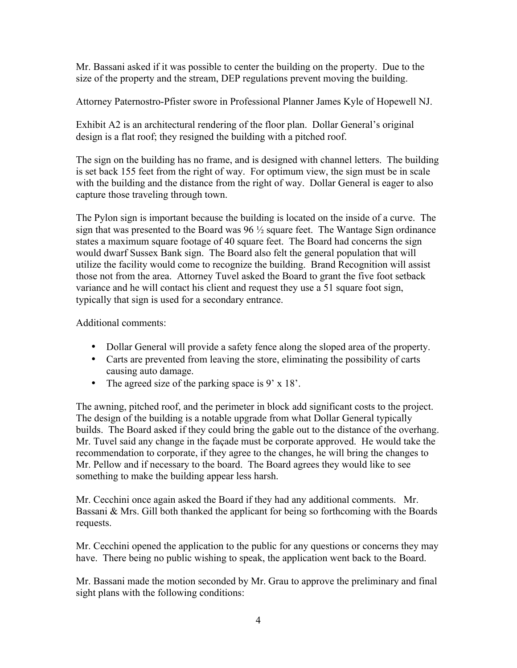Mr. Bassani asked if it was possible to center the building on the property. Due to the size of the property and the stream, DEP regulations prevent moving the building.

Attorney Paternostro-Pfister swore in Professional Planner James Kyle of Hopewell NJ.

Exhibit A2 is an architectural rendering of the floor plan. Dollar General's original design is a flat roof; they resigned the building with a pitched roof.

The sign on the building has no frame, and is designed with channel letters. The building is set back 155 feet from the right of way. For optimum view, the sign must be in scale with the building and the distance from the right of way. Dollar General is eager to also capture those traveling through town.

The Pylon sign is important because the building is located on the inside of a curve. The sign that was presented to the Board was  $96\frac{1}{2}$  square feet. The Wantage Sign ordinance states a maximum square footage of 40 square feet. The Board had concerns the sign would dwarf Sussex Bank sign. The Board also felt the general population that will utilize the facility would come to recognize the building. Brand Recognition will assist those not from the area. Attorney Tuvel asked the Board to grant the five foot setback variance and he will contact his client and request they use a 51 square foot sign, typically that sign is used for a secondary entrance.

Additional comments:

- Dollar General will provide a safety fence along the sloped area of the property.
- Carts are prevented from leaving the store, eliminating the possibility of carts causing auto damage.
- The agreed size of the parking space is 9' x 18'.

The awning, pitched roof, and the perimeter in block add significant costs to the project. The design of the building is a notable upgrade from what Dollar General typically builds. The Board asked if they could bring the gable out to the distance of the overhang. Mr. Tuvel said any change in the façade must be corporate approved. He would take the recommendation to corporate, if they agree to the changes, he will bring the changes to Mr. Pellow and if necessary to the board. The Board agrees they would like to see something to make the building appear less harsh.

Mr. Cecchini once again asked the Board if they had any additional comments. Mr. Bassani & Mrs. Gill both thanked the applicant for being so forthcoming with the Boards requests.

Mr. Cecchini opened the application to the public for any questions or concerns they may have. There being no public wishing to speak, the application went back to the Board.

Mr. Bassani made the motion seconded by Mr. Grau to approve the preliminary and final sight plans with the following conditions: